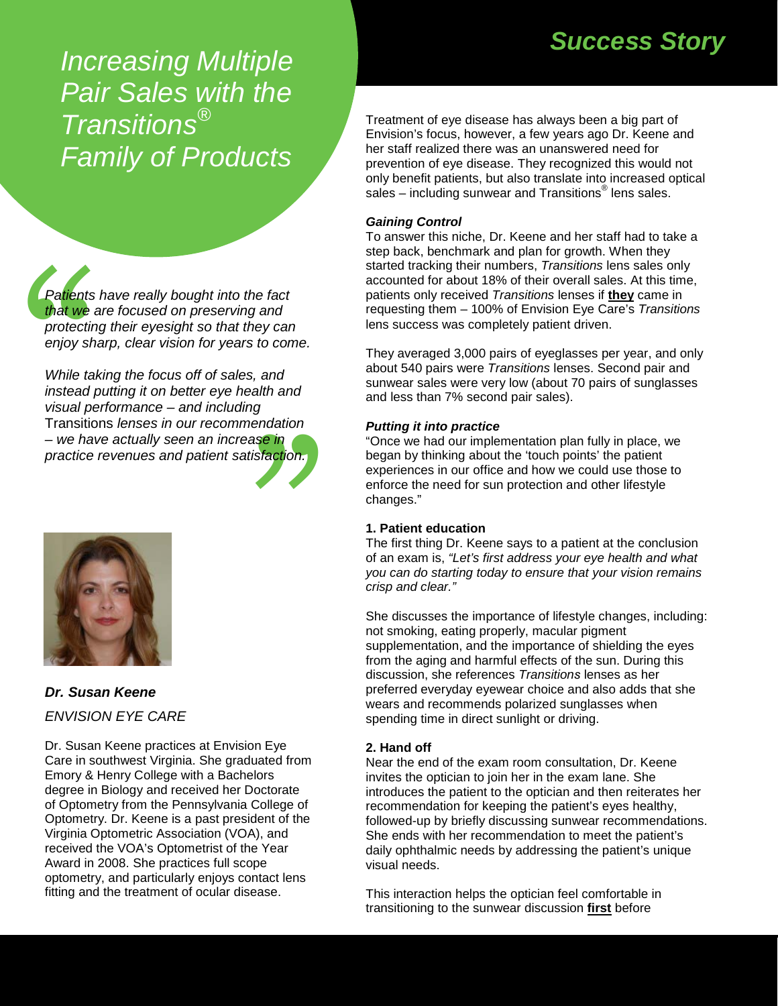*Success Story Increasing Multiple Pair Sales with the Transitions® Family of Products* 

*Patients have really bought into the fact that we are focused on preserving and protecting their eyesight so that they can enjoy sharp, clear vision for years to come.* 

schaatship<br>ase in<br>tisfaction. Patients<br>
that we<br>
protectin<br>
enjoy sh<br>
While ta<br>
instead<br>
visual pe<br>
Transitic<br>
– we have *While taking the focus off of sales, and instead putting it on better eye health and visual performance – and including*  Transitions *lenses in our recommendation – we have actually seen an increase in practice revenues and patient satisfaction.*



# *Dr. Susan Keene ENVISION EYE CARE*

Dr. Susan Keene practices at Envision Eye Care in southwest Virginia. She graduated from Emory & Henry College with a Bachelors degree in Biology and received her Doctorate of Optometry from the Pennsylvania College of Optometry. Dr. Keene is a past president of the Virginia Optometric Association (VOA), and received the VOA's Optometrist of the Year Award in 2008. She practices full scope optometry, and particularly enjoys contact lens fitting and the treatment of ocular disease.

Treatment of eye disease has always been a big part of Envision's focus, however, a few years ago Dr. Keene and her staff realized there was an unanswered need for prevention of eye disease. They recognized this would not only benefit patients, but also translate into increased optical sales – including sunwear and Transitions<sup>®</sup> lens sales.

# *Gaining Control*

To answer this niche, Dr. Keene and her staff had to take a step back, benchmark and plan for growth. When they started tracking their numbers, *Transitions* lens sales only accounted for about 18% of their overall sales. At this time, patients only received *Transitions* lenses if **they** came in requesting them – 100% of Envision Eye Care's *Transitions* lens success was completely patient driven.

They averaged 3,000 pairs of eyeglasses per year, and only about 540 pairs were *Transitions* lenses. Second pair and sunwear sales were very low (about 70 pairs of sunglasses and less than 7% second pair sales).

## *Putting it into practice*

"Once we had our implementation plan fully in place, we began by thinking about the 'touch points' the patient experiences in our office and how we could use those to enforce the need for sun protection and other lifestyle changes."

## **1. Patient education**

The first thing Dr. Keene says to a patient at the conclusion of an exam is, *"Let's first address your eye health and what you can do starting today to ensure that your vision remains crisp and clear."*

She discusses the importance of lifestyle changes, including: not smoking, eating properly, macular pigment supplementation, and the importance of shielding the eyes from the aging and harmful effects of the sun. During this discussion, she references *Transitions* lenses as her preferred everyday eyewear choice and also adds that she wears and recommends polarized sunglasses when spending time in direct sunlight or driving.

# **2. Hand off**

Near the end of the exam room consultation, Dr. Keene invites the optician to join her in the exam lane. She introduces the patient to the optician and then reiterates her recommendation for keeping the patient's eyes healthy, followed-up by briefly discussing sunwear recommendations. She ends with her recommendation to meet the patient's daily ophthalmic needs by addressing the patient's unique visual needs.

This interaction helps the optician feel comfortable in transitioning to the sunwear discussion **first** before